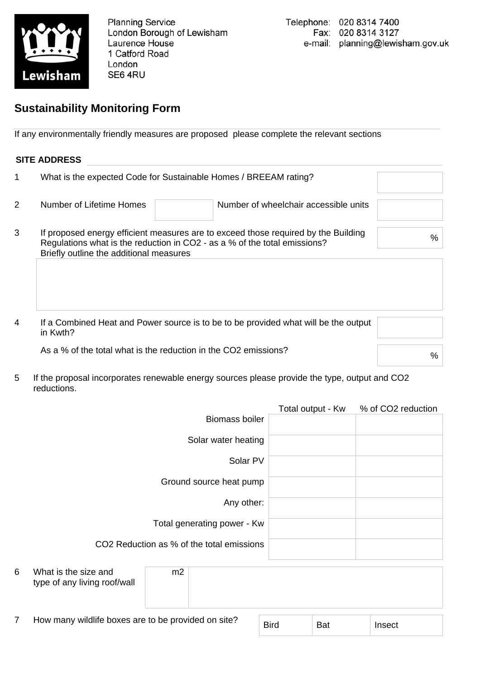

**Planning Service** London Borough of Lewisham Laurence House 1 Catford Road London SE6 4RU

## **Sustainability Monitoring Form**

If any environmentally friendly measures are proposed please complete the relevant sections

## **SITE ADDRESS**

|   |                                                                                                                                                                                                            | What is the expected Code for Sustainable Homes / BREEAM rating? |  |  |  |  |
|---|------------------------------------------------------------------------------------------------------------------------------------------------------------------------------------------------------------|------------------------------------------------------------------|--|--|--|--|
| 2 | Number of Lifetime Homes                                                                                                                                                                                   | Number of wheelchair accessible units                            |  |  |  |  |
| 3 | If proposed energy efficient measures are to exceed those required by the Building<br>Regulations what is the reduction in CO2 - as a % of the total emissions?<br>Briefly outline the additional measures | %                                                                |  |  |  |  |

4 If a Combined Heat and Power source is to be to be provided what will be the output in Kwth?

As a % of the total what is the reduction in the CO2 emissions?

5 If the proposal incorporates renewable energy sources please provide the type, output and CO2 reductions.

|   |                                                      |                             |                                     | Total output - Kw | % of CO2 reduction |
|---|------------------------------------------------------|-----------------------------|-------------------------------------|-------------------|--------------------|
|   |                                                      |                             | <b>Biomass boiler</b>               |                   |                    |
|   |                                                      |                             | Solar water heating                 |                   |                    |
|   |                                                      |                             | Solar PV<br>Ground source heat pump |                   |                    |
|   |                                                      |                             |                                     |                   |                    |
|   |                                                      | Total generating power - Kw |                                     |                   |                    |
|   | CO2 Reduction as % of the total emissions            |                             |                                     |                   |                    |
|   |                                                      |                             |                                     |                   |                    |
| 6 | What is the size and<br>type of any living roof/wall | m2                          |                                     |                   |                    |

7 How many wildlife boxes are to be provided on site?

| <b>Bird</b> | Bat | Insect |
|-------------|-----|--------|
|             |     |        |